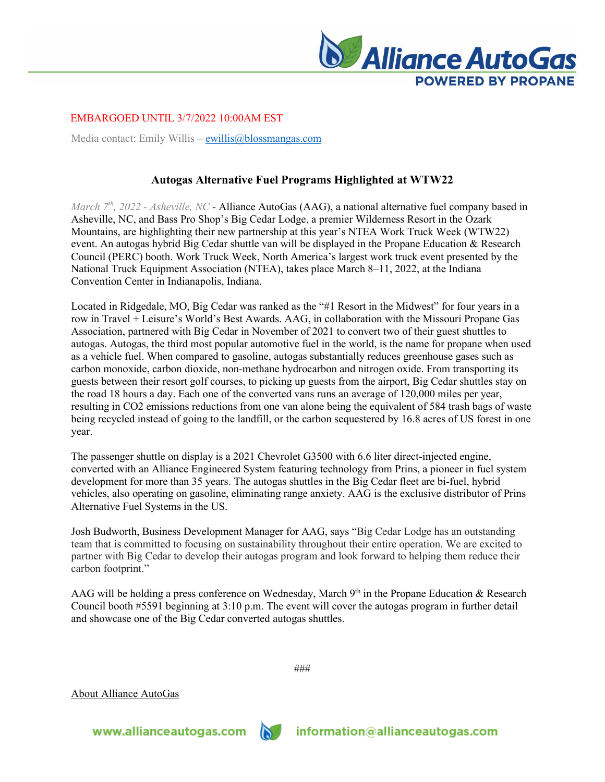

EMBARGOED UNTIL 3/7/2022 10:00AM EST

Media contact: Emily Willis – ewillis  $\omega$ blossmangas.com

## **Autogas Alternative Fuel Programs Highlighted at WTW22**

*March 7th, 2022 - Asheville, NC -* Alliance AutoGas (AAG), a national alternative fuel company based in Asheville, NC, and Bass Pro Shop's Big Cedar Lodge, a premier Wilderness Resort in the Ozark Mountains, are highlighting their new partnership at this year's NTEA Work Truck Week (WTW22) event. An autogas hybrid Big Cedar shuttle van will be displayed in the Propane Education & Research Council (PERC) booth. Work Truck Week, North America's largest work truck event presented by the National Truck Equipment Association (NTEA), takes place March 8–11, 2022, at the Indiana Convention Center in Indianapolis, Indiana.

Located in Ridgedale, MO, Big Cedar was ranked as the "#1 Resort in the Midwest" for four years in a row in Travel + Leisure's World's Best Awards. AAG, in collaboration with the Missouri Propane Gas Association, partnered with Big Cedar in November of 2021 to convert two of their guest shuttles to autogas. Autogas, the third most popular automotive fuel in the world, is the name for propane when used as a vehicle fuel. When compared to gasoline, autogas substantially reduces greenhouse gases such as carbon monoxide, carbon dioxide, non-methane hydrocarbon and nitrogen oxide. From transporting its guests between their resort golf courses, to picking up guests from the airport, Big Cedar shuttles stay on the road 18 hours a day. Each one of the converted vans runs an average of 120,000 miles per year, resulting in CO2 emissions reductions from one van alone being the equivalent of 584 trash bags of waste being recycled instead of going to the landfill, or the carbon sequestered by 16.8 acres of US forest in one year.

The passenger shuttle on display is a 2021 Chevrolet G3500 with 6.6 liter direct-injected engine, converted with an Alliance Engineered System featuring technology from Prins, a pioneer in fuel system development for more than 35 years. The autogas shuttles in the Big Cedar fleet are bi-fuel, hybrid vehicles, also operating on gasoline, eliminating range anxiety. AAG is the exclusive distributor of Prins Alternative Fuel Systems in the US.

Josh Budworth, Business Development Manager for AAG, says "Big Cedar Lodge has an outstanding team that is committed to focusing on sustainability throughout their entire operation. We are excited to partner with Big Cedar to develop their autogas program and look forward to helping them reduce their carbon footprint."

AAG will be holding a press conference on Wednesday, March 9<sup>th</sup> in the Propane Education & Research Council booth #5591 beginning at 3:10 p.m. The event will cover the autogas program in further detail and showcase one of the Big Cedar converted autogas shuttles.

###

About Alliance AutoGas